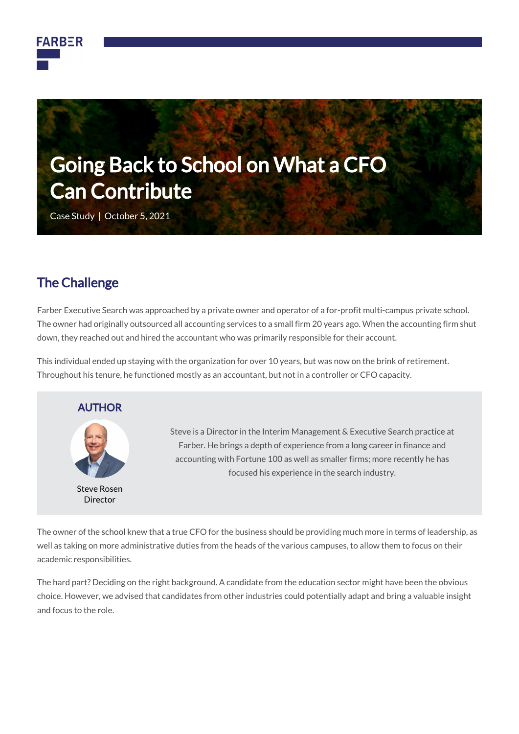



Case Study | October 5, 2021

### The Challenge

Farber Executive Search was approached by a private owner and operator of a for-profit multi-campus private school. The owner had originally outsourced all accounting services to a small firm 20 years ago. When the accounting firm shut down, they reached out and hired the accountant who was primarily responsible for their account.

This individual ended up staying with the organization for over 10 years, but was now on the brink of retirement. Throughout his tenure, he functioned mostly as an accountant, but not in a controller or CFO capacity.



Steve is a Director in the Interim Management & Executive Search practice at Farber. He brings a depth of experience from a long career in finance and accounting with Fortune 100 as well as smaller firms; more recently he has focused his experience in the search industry.

The owner of the school knew that a true CFO for the business should be providing much more in terms of leadership, as well as taking on more administrative duties from the heads of the various campuses, to allow them to focus on their academic responsibilities.

The hard part? Deciding on the right background. A candidate from the education sector might have been the obvious choice. However, we advised that candidates from other industries could potentially adapt and bring a valuable insight and focus to the role.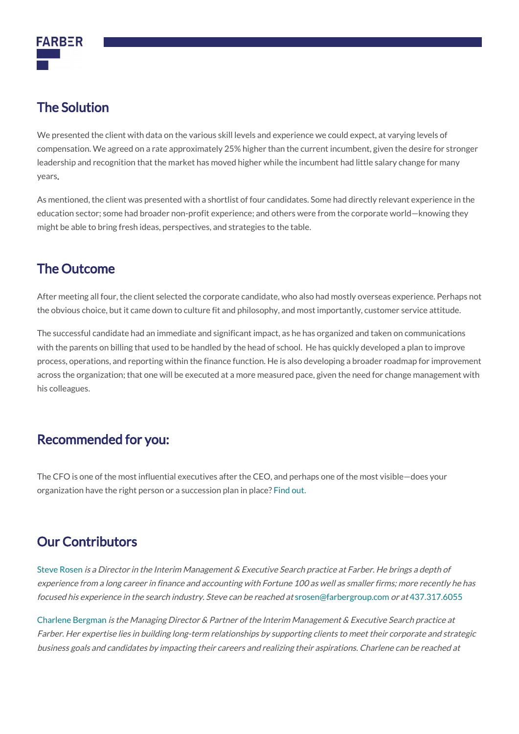

# The Solution

We presented the client with data on the various skill levels and experience we could expect, at varying levels of compensation. We agreed on a rate approximately 25% higher than the current incumbent, given the desire for stronger leadership and recognition that the market has moved higher while the incumbent had little salary change for many years.

As mentioned, the client was presented with a shortlist of four candidates. Some had directly relevant experience in the education sector; some had broader non-profit experience; and others were from the corporate world—knowing they might be able to bring fresh ideas, perspectives, and strategies to the table.

## The Outcome

After meeting all four, the client selected the corporate candidate, who also had mostly overseas experience. Perhaps not the obvious choice, but it came down to culture fit and philosophy, and most importantly, customer service attitude.

The successful candidate had an immediate and significant impact, as he has organized and taken on communications with the parents on billing that used to be handled by the head of school. He has quickly developed a plan to improve process, operations, and reporting within the finance function. He is also developing a broader roadmap for improvement across the organization; that one will be executed at a more measured pace, given the need for change management with his colleagues.

## Recommended for you:

The CFO is one of the most influential executives after the CEO, and perhaps one of the most visible—does your organization have the right person or a succession plan in place? [Find out.](https://farbergroup.com/articles/cfo-succession-is-your-business-ready/)

## Our Contributors

[Steve Rosen](https://farbergroup.com/team/steve-rosen/) is a Director in the Interim Management & Executive Search practice at Farber. He brings a depth of experience from a long career in finance and accounting with Fortune 100 as well as smaller firms; more recently he has focused his experience in the search industry. Steve can be reached at [srosen@farbergroup.com](mailto:srosen@farbergroup.com) or at [437.317.6055](tel:437.317.6055)

[Charlene Bergman](https://farbergroup.com/team/charlene-bergman/) is the Managing Director & Partner of the Interim Management & Executive Search practice at Farber. Her expertise lies in building long-term relationships by supporting clients to meet their corporate and strategic business goals and candidates by impacting their careers and realizing their aspirations. Charlene can be reached at